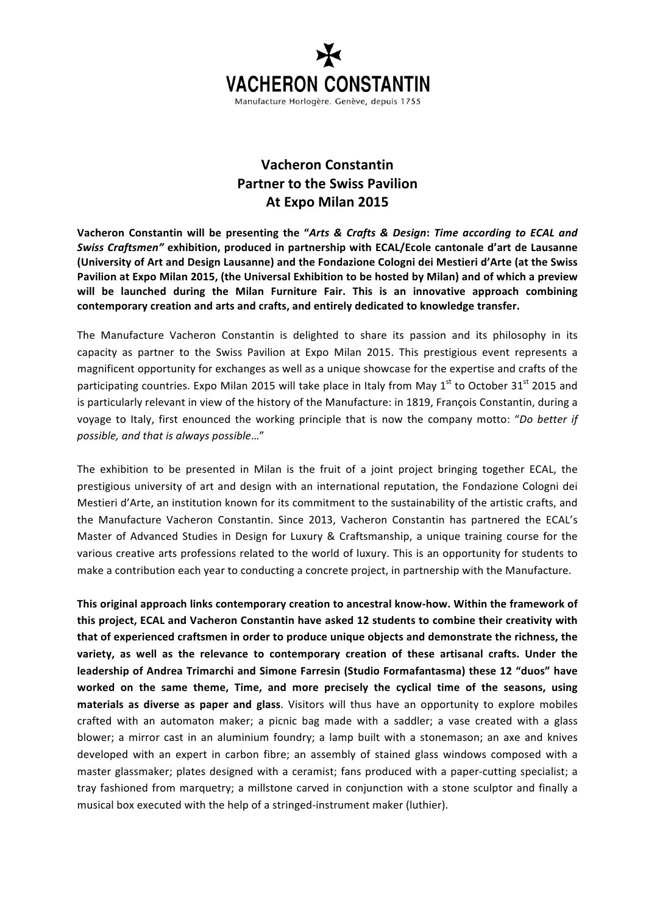

## **Vacheron Constantin Partner to the Swiss Pavilion At Expo Milan 2015**

**Vacheron Constantin will be presenting the "Arts & Crafts & Design: Time according to ECAL and** *Swiss Craftsmen"* **exhibition, produced in partnership with ECAL/Ecole cantonale d'art de Lausanne**  (University of Art and Design Lausanne) and the Fondazione Cologni dei Mestieri d'Arte (at the Swiss **Pavilion** at Expo Milan 2015, (the Universal Exhibition to be hosted by Milan) and of which a preview will be launched during the Milan Furniture Fair. This is an innovative approach combining contemporary creation and arts and crafts, and entirely dedicated to knowledge transfer.

The Manufacture Vacheron Constantin is delighted to share its passion and its philosophy in its capacity as partner to the Swiss Pavilion at Expo Milan 2015. This prestigious event represents a magnificent opportunity for exchanges as well as a unique showcase for the expertise and crafts of the participating countries. Expo Milan 2015 will take place in Italy from May  $1<sup>st</sup>$  to October 31<sup>st</sup> 2015 and is particularly relevant in view of the history of the Manufacture: in 1819, François Constantin, during a voyage to Italy, first enounced the working principle that is now the company motto: "Do better if *possible, and that is always possible*…"

The exhibition to be presented in Milan is the fruit of a joint project bringing together ECAL, the prestigious university of art and design with an international reputation, the Fondazione Cologni dei Mestieri d'Arte, an institution known for its commitment to the sustainability of the artistic crafts, and the Manufacture Vacheron Constantin. Since 2013, Vacheron Constantin has partnered the ECAL's Master of Advanced Studies in Design for Luxury & Craftsmanship, a unique training course for the various creative arts professions related to the world of luxury. This is an opportunity for students to make a contribution each year to conducting a concrete project, in partnership with the Manufacture.

This original approach links contemporary creation to ancestral know-how. Within the framework of this project, ECAL and Vacheron Constantin have asked 12 students to combine their creativity with that of experienced craftsmen in order to produce unique objects and demonstrate the richness, the variety, as well as the relevance to contemporary creation of these artisanal crafts. Under the leadership of Andrea Trimarchi and Simone Farresin (Studio Formafantasma) these 12 "duos" have worked on the same theme, Time, and more precisely the cyclical time of the seasons, using **materials as diverse as paper and glass**. Visitors will thus have an opportunity to explore mobiles crafted with an automaton maker; a picnic bag made with a saddler; a vase created with a glass blower; a mirror cast in an aluminium foundry; a lamp built with a stonemason; an axe and knives developed with an expert in carbon fibre; an assembly of stained glass windows composed with a master glassmaker; plates designed with a ceramist; fans produced with a paper-cutting specialist; a tray fashioned from marquetry; a millstone carved in conjunction with a stone sculptor and finally a musical box executed with the help of a stringed-instrument maker (luthier).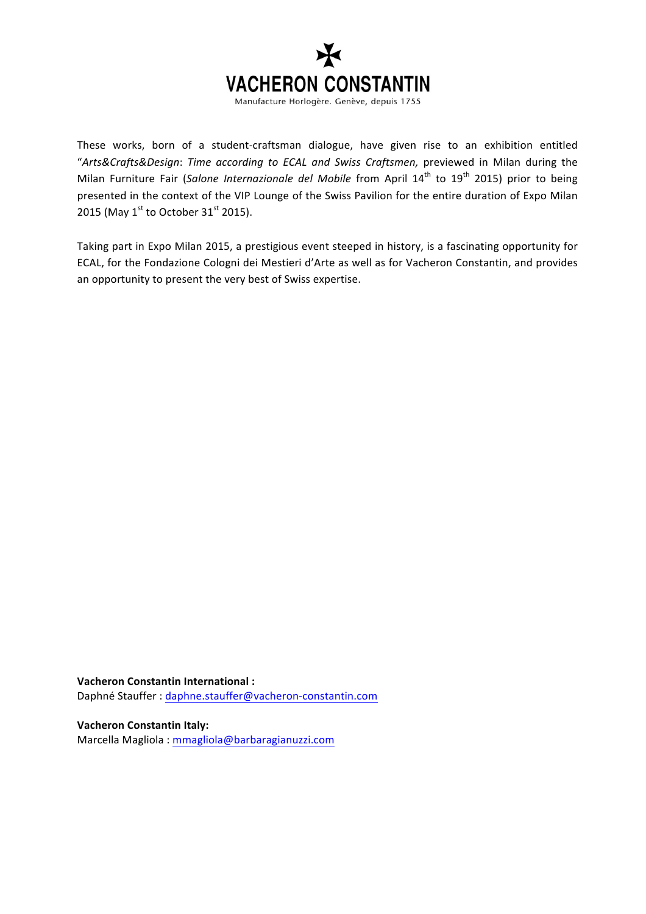

These works, born of a student-craftsman dialogue, have given rise to an exhibition entitled "Arts&Crafts&Design: Time according to ECAL and Swiss Craftsmen, previewed in Milan during the Milan Furniture Fair (*Salone Internazionale del Mobile* from April 14<sup>th</sup> to 19<sup>th</sup> 2015) prior to being presented in the context of the VIP Lounge of the Swiss Pavilion for the entire duration of Expo Milan 2015 (May  $1^{st}$  to October 31<sup>st</sup> 2015).

Taking part in Expo Milan 2015, a prestigious event steeped in history, is a fascinating opportunity for ECAL, for the Fondazione Cologni dei Mestieri d'Arte as well as for Vacheron Constantin, and provides an opportunity to present the very best of Swiss expertise.

**Vacheron Constantin International :** Daphné Stauffer : daphne.stauffer@vacheron-constantin.com

**Vacheron Constantin Italy:** Marcella Magliola : mmagliola@barbaragianuzzi.com